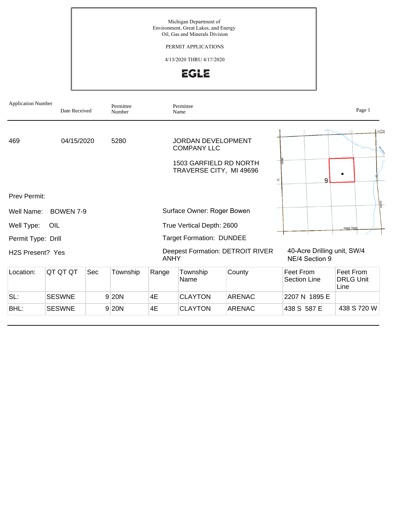Michigan Department of Environment, Great Lakes, and Energy Oil, Gas and Minerals Division

PERMIT APPLICATIONS

4/13/2020 THRU 4/17/2020



| <b>Application Number</b>     | Date Received    |     | Permittee<br>Number |                           | Permittee<br>Name                                 |                                         |                                               | Page 1                                |
|-------------------------------|------------------|-----|---------------------|---------------------------|---------------------------------------------------|-----------------------------------------|-----------------------------------------------|---------------------------------------|
| 469                           | 04/15/2020       |     | 5280                |                           | <b>JORDAN DEVELOPMENT</b><br><b>COMPANY LLC</b>   |                                         |                                               | La Grat                               |
|                               |                  |     |                     |                           | 1503 GARFIELD RD NORTH<br>TRAVERSE CITY, MI 49696 |                                         | 9<br>1F                                       |                                       |
| Prev Permit:                  |                  |     |                     |                           |                                                   |                                         |                                               |                                       |
| Well Name:                    | <b>BOWEN 7-9</b> |     |                     |                           | Surface Owner: Roger Bowen                        |                                         |                                               |                                       |
| Well Type:                    | OIL              |     |                     | True Vertical Depth: 2600 | Maple Ridg                                        |                                         |                                               |                                       |
| Permit Type: Drill            |                  |     |                     |                           | <b>Target Formation: DUNDEE</b>                   |                                         |                                               |                                       |
| H <sub>2</sub> S Present? Yes |                  |     |                     | <b>ANHY</b>               |                                                   | <b>Deepest Formation: DETROIT RIVER</b> | 40-Acre Drilling unit, SW/4<br>NE/4 Section 9 |                                       |
| Location:                     | QT QT QT         | Sec | Township            | Range                     | Township<br>Name                                  | County                                  | Feet From<br>Section Line                     | Feet From<br><b>DRLG Unit</b><br>Line |
| SL:                           | <b>SESWNE</b>    |     | 9 20N               | 4E                        | <b>CLAYTON</b>                                    | <b>ARENAC</b>                           | 2207 N 1895 E                                 |                                       |
| BHL:                          | <b>SESWNE</b>    |     | 9 20N               | 4E                        | <b>CLAYTON</b>                                    | <b>ARENAC</b>                           | 438 S 587 E                                   | 438 S 720 W                           |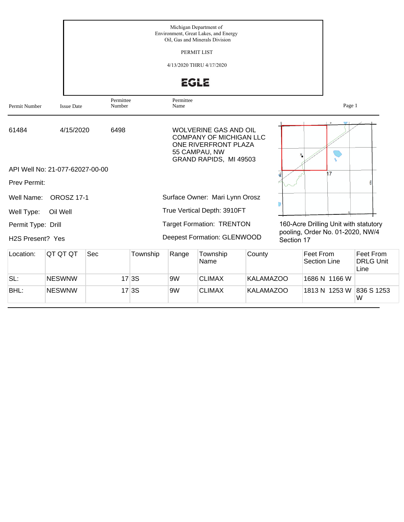|                               |                                 | Michigan Department of<br>Environment, Great Lakes, and Energy<br>Oil, Gas and Minerals Division<br>PERMIT LIST<br>4/13/2020 THRU 4/17/2020<br><b>EGLE</b> |          |                   |                                                                                                                                   |        |            |                                       |                                       |  |  |
|-------------------------------|---------------------------------|------------------------------------------------------------------------------------------------------------------------------------------------------------|----------|-------------------|-----------------------------------------------------------------------------------------------------------------------------------|--------|------------|---------------------------------------|---------------------------------------|--|--|
| Permit Number                 | <b>Issue Date</b>               | Permittee<br>Number                                                                                                                                        |          | Permittee<br>Name |                                                                                                                                   |        |            |                                       | Page 1                                |  |  |
| 61484                         | 4/15/2020                       | 6498                                                                                                                                                       |          |                   | <b>WOLVERINE GAS AND OIL</b><br><b>COMPANY OF MICHIGAN LLC</b><br>ONE RIVERFRONT PLAZA<br>55 CAMPAU, NW<br>GRAND RAPIDS, MI 49503 |        |            |                                       |                                       |  |  |
|                               | API Well No: 21-077-62027-00-00 |                                                                                                                                                            |          |                   |                                                                                                                                   |        |            | 17                                    |                                       |  |  |
| Prev Permit:                  |                                 |                                                                                                                                                            |          |                   |                                                                                                                                   |        |            |                                       |                                       |  |  |
| Well Name:                    | <b>OROSZ 17-1</b>               |                                                                                                                                                            |          |                   | Surface Owner: Mari Lynn Orosz                                                                                                    |        |            |                                       |                                       |  |  |
| Well Type:                    | Oil Well                        |                                                                                                                                                            |          |                   | True Vertical Depth: 3910FT                                                                                                       |        |            |                                       |                                       |  |  |
| Permit Type: Drill            |                                 |                                                                                                                                                            |          |                   | <b>Target Formation: TRENTON</b>                                                                                                  |        |            | 160-Acre Drilling Unit with statutory |                                       |  |  |
| H <sub>2</sub> S Present? Yes |                                 |                                                                                                                                                            |          |                   | Deepest Formation: GLENWOOD                                                                                                       |        | Section 17 | pooling, Order No. 01-2020, NW/4      |                                       |  |  |
| Location:                     | QT QT QT                        | Sec                                                                                                                                                        | Township | Range             | Township<br>Name                                                                                                                  | County |            | Feet From<br><b>Section Line</b>      | Feet From<br><b>DRLG Unit</b><br>Line |  |  |

|      |               |       | ັ  | Name          |                  | Section Line  | <b>DRLG Unit</b><br>Line |
|------|---------------|-------|----|---------------|------------------|---------------|--------------------------|
| SL:  | <b>NESWNW</b> | 17 3S | 9W | <b>CLIMAX</b> | KALAMAZOO        | 1686 N 1166 W |                          |
| BHL: | <b>NESWNW</b> | 17 3S | 9W | <b>CLIMAX</b> | <b>KALAMAZOO</b> | 1813 N 1253 W | 836 S 1253<br>W          |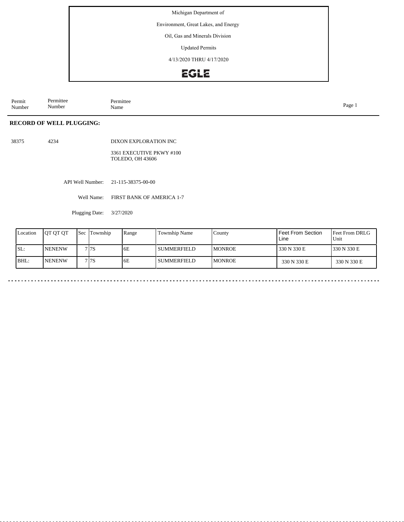Michigan Department of

Environment, Great Lakes, and Energy

Oil, Gas and Minerals Division

Updated Permits

4/13/2020 THRU 4/17/2020

## EGLE

Permit Number Permittee Number Permittee<br>Name Name Page 1

## **RECORD OF WELL PLUGGING:**

38375 4234

DIXON EXPLORATION INC

3361 EXECUTIVE PKWY #100 TOLEDO, OH 43606

API Well Number: 21-115-38375-00-00

Well Name: FIRST BANK OF AMERICA 1-7

Plugging Date: 3/27/2020

| Location | <b>IOT OT OT</b> | <b>Sec</b> Township | Range | Township Name | County         | Feet From Section<br>Line | <b>Feet From DRLG</b><br>Unit |
|----------|------------------|---------------------|-------|---------------|----------------|---------------------------|-------------------------------|
| SL:      | <b>NENENW</b>    | 7 7 S               | 6E    | l summerfield | <b>IMONROE</b> | 330 N 330 E               | 1330 N 330 E                  |
| BHL:     | <b>INENENW</b>   | 7 I 7 S             | 6E    | l summerfield | <b>IMONROE</b> | 330 N 330 E               | 330 N 330 E                   |

 $\ddot{\phantom{1}}$